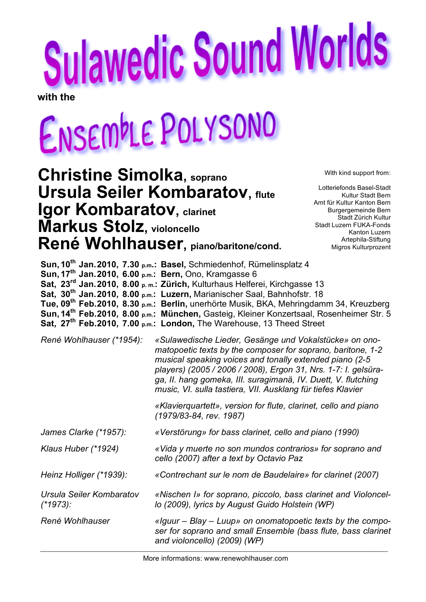# **Sulawedic Sound Worlds**

**with the**

# ENSEMPLE POLYSONO

# **Christine Simolka, soprano Ursula Seiler Kombaratov, flute Igor Kombaratov, clarinet Markus Stolz, violoncello René Wohlhauser, piano/baritone/cond.**

With kind support from:

Lotteriefonds Basel-Stadt Kultur Stadt Bern Amt für Kultur Kanton Bern Burgergemeinde Bern Stadt Zürich Kultur Stadt Luzern FUKA-Fonds Kanton Luzern Artephila-Stiftung Migros Kulturprozent

| Sun, 17 <sup>th</sup> Jan. 2010, 6.00 p.m.: Bern, Ono, Kramgasse 6 | Sun, 10 <sup>th</sup> Jan. 2010, 7.30 p.m.: Basel, Schmiedenhof, Rümelinsplatz 4<br>Sat, 23 <sup>rd</sup> Jan. 2010, 8.00 p.m.: Zürich, Kulturhaus Helferei, Kirchgasse 13<br>Sat, 30 <sup>th</sup> Jan. 2010, 8.00 p.m.: Luzern, Marianischer Saal, Bahnhofstr. 18<br>Tue, 09 <sup>th</sup> Feb.2010, 8.30 p.m.: Berlin, unerhörte Musik, BKA, Mehringdamm 34, Kreuzberg<br>Sun, 14 <sup>th</sup> Feb. 2010, 8.00 p.m.: München, Gasteig, Kleiner Konzertsaal, Rosenheimer Str. 5<br>Sat, 27 <sup>th</sup> Feb.2010, 7.00 p.m.: London, The Warehouse, 13 Theed Street |  |
|--------------------------------------------------------------------|-------------------------------------------------------------------------------------------------------------------------------------------------------------------------------------------------------------------------------------------------------------------------------------------------------------------------------------------------------------------------------------------------------------------------------------------------------------------------------------------------------------------------------------------------------------------------|--|
| René Wohlhauser (*1954):                                           | «Sulawedische Lieder, Gesänge und Vokalstücke» on ono-<br>matopoetic texts by the composer for soprano, baritone, 1-2<br>musical speaking voices and tonally extended piano (2-5<br>players) (2005 / 2006 / 2008), Ergon 31, Nrs. 1-7: I. gelsüra-<br>ga, II. hang gomeka, III. suragimanä, IV. Duett, V. flutching<br>music, VI. sulla tastiera, VII. Ausklang für tiefes Klavier                                                                                                                                                                                      |  |
|                                                                    | «Klavierquartett», version for flute, clarinet, cello and piano<br>(1979/83-84, rev. 1987)                                                                                                                                                                                                                                                                                                                                                                                                                                                                              |  |
| James Clarke (*1957):                                              | «Verstörung» for bass clarinet, cello and piano (1990)                                                                                                                                                                                                                                                                                                                                                                                                                                                                                                                  |  |
| Klaus Huber (*1924)                                                | «Vida y muerte no son mundos contrarios» for soprano and<br>cello (2007) after a text by Octavio Paz                                                                                                                                                                                                                                                                                                                                                                                                                                                                    |  |
| Heinz Holliger (*1939):                                            | «Contrechant sur le nom de Baudelaire» for clarinet (2007)                                                                                                                                                                                                                                                                                                                                                                                                                                                                                                              |  |
| Ursula Seiler Kombaratov<br>$(*1973):$                             | «Nischen I» for soprano, piccolo, bass clarinet and Violoncel-<br>lo (2009), lyrics by August Guido Holstein (WP)                                                                                                                                                                                                                                                                                                                                                                                                                                                       |  |
| René Wohlhauser                                                    | «Iguur – Blay – Luup» on onomatopoetic texts by the compo-<br>ser for soprano and small Ensemble (bass flute, bass clarinet<br>and violoncello) (2009) (WP)                                                                                                                                                                                                                                                                                                                                                                                                             |  |
|                                                                    |                                                                                                                                                                                                                                                                                                                                                                                                                                                                                                                                                                         |  |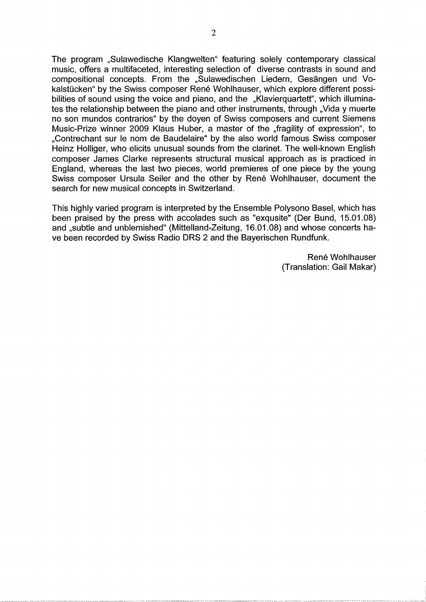The program "Sulawedische Klangwelten" featuring solely contemporary classical music, offers a multifaceted, interesting selection of diverse contrasts in sound and compositional concepts. From the "Sulawedischen Liedern, Gesängen und Vokalstücken" by the Swiss composer René Wohlhauser, which explore different possibilities of sound using the voice and piano, and the "Klavierguartett", which illuminates the relationship between the piano and other instruments, through "Vida y muerte no son mundos contrarios" by the doyen of Swiss composers and current Siemens Music-Prize winner 2009 Klaus Huber, a master of the "fragility of expression", to "Contrechant sur le nom de Baudelaire" by the also world famous Swiss composer Heinz Holliger, who elicits unusual sounds from the clarinet. The well-known English composer James Clarke represents structural musical approach as is practiced in England, whereas the last two pieces, world premieres of one piece by the young Swiss composer Ursula Seiler and the other by René Wohlhauser, document the search for new musical concepts in Switzerland.

This highly varied program is interpreted by the Ensemble Polysono Basel, which has been praised by the press with accolades such as "exqusite" (Der Bund, 15.01.08) and "subtle and unblemished" (Mittelland-Zeitung, 16.01.08) and whose concerts have been recorded by Swiss Radio DRS 2 and the Bayerischen Rundfunk.

> René Wohlhauser (Translation: Gail Makar)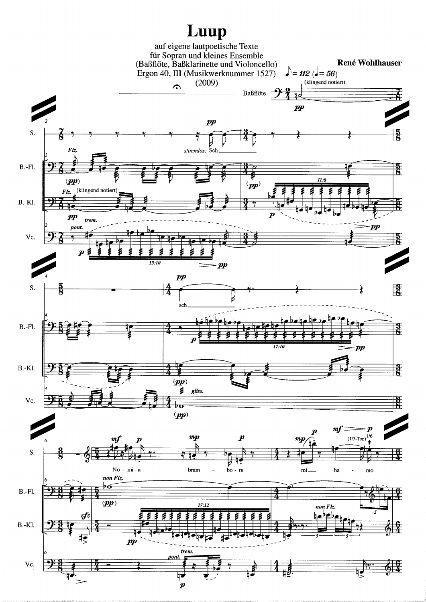# Luup

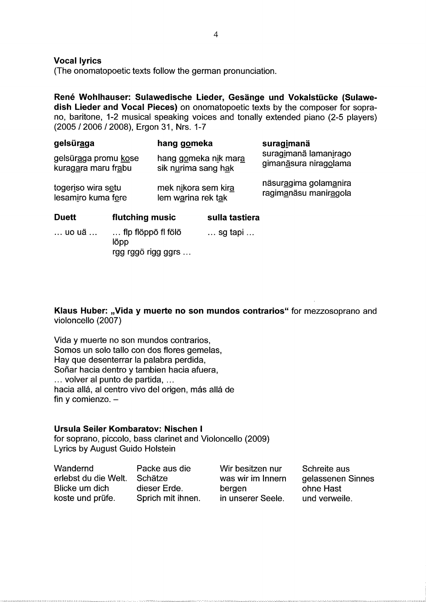**Vocal lyrics** 

(The onomatopoetic texts follow the german pronunciation.

René Wohlhauser: Sulawedische Lieder, Gesänge und Vokalstücke (Sulawedish Lieder and Vocal Pieces) on onomatopoetic texts by the composer for soprano, baritone, 1-2 musical speaking voices and tonally extended piano (2-5 players) (2005 / 2006 / 2008), Ergon 31, Nrs. 1-7

| gelsür <u>a</u> ga                          | hang gomeka                                 | suragimanä<br>suragimanä lamanirago<br>gimanäsura niragolama |  |
|---------------------------------------------|---------------------------------------------|--------------------------------------------------------------|--|
| gelsüraga promu kose<br>kuragara maru frabu | hang gomeka nik mara<br>sik nurima sang hak |                                                              |  |
| togeriso wira setu<br>lesamiro kuma fere    | mek nikora sem kira<br>lem warina rek tak   | näsuragima golamanira<br>ragimanäsu maniragola               |  |

| <b>Duett</b> | flutching music                     | sulla tastiera            |  |
|--------------|-------------------------------------|---------------------------|--|
| … uo uä …    | $\ldots$ flp flöppö fl fölö<br>löpp | $\ldots$ sg tapi $\ldots$ |  |
|              | rgg rggö rigg ggrs                  |                           |  |

Klaus Huber: "Vida y muerte no son mundos contrarios" for mezzosoprano and violoncello (2007)

Vida y muerte no son mundos contrarios, Somos un solo tallo con dos flores gemelas, Hay que desenterrar la palabra perdida, Soñar hacia dentro y tambien hacia afuera, ... volver al punto de partida, ... hacia allá, al centro vivo del origen, más allá de fin y comienzo.  $-$ 

# Ursula Seiler Kombaratov: Nischen I

for soprano, piccolo, bass clarinet and Violoncello (2009) Lyrics by August Guido Holstein

| Wandernd             | Packe aus die     | Wir besitzen nur  | Schreite aus      |
|----------------------|-------------------|-------------------|-------------------|
| erlebst du die Welt. | Schätze           | was wir im Innern | gelassenen Sinnes |
| Blicke um dich       | dieser Erde.      | bergen            | ohne Hast         |
| koste und prüfe.     | Sprich mit ihnen. | in unserer Seele. | und verweile.     |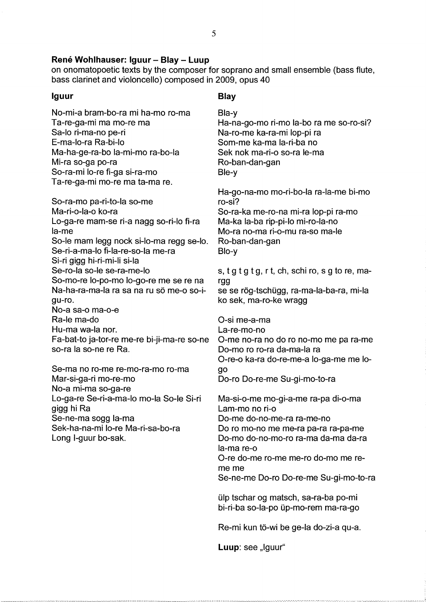# René Wohlhauser: Iguur - Blay - Luup

on onomatopoetic texts by the composer for soprano and small ensemble (bass flute, bass clarinet and violoncello) composed in 2009, opus 40

## Iguur

No-mi-a bram-bo-ra mi ha-mo ro-ma Ta-re-ga-mi ma mo-re ma Sa-lo ri-ma-no pe-ri E-ma-lo-ra Ra-bi-lo Ma-ha-ge-ra-bo la-mi-mo ra-bo-la Mi-ra so-ga po-ra So-ra-mi lo-re fi-ga si-ra-mo Ta-re-ga-mi mo-re ma ta-ma re.

So-ra-mo pa-ri-to-la so-me Ma-ri-o-la-o ko-ra Lo-ga-re mam-se ri-a nagg so-ri-lo fi-ra la-me So-le mam legg nock si-lo-ma regg se-lo. Se-ri-a-ma-lo fi-la-re-so-la me-ra Si-ri gigg hi-ri-mi-li si-la Se-ro-la so-le se-ra-me-lo So-mo-re lo-po-mo lo-go-re me se re na Na-ha-ra-ma-la ra sa na ru sö me-o so-iqu-ro. No-a sa-o ma-o-e Ra-le ma-do Hu-ma wa-la nor. Fa-bat-to ja-tor-re me-re bi-ji-ma-re so-ne so-ra la so-ne re Ra.

Se-ma no ro-me re-mo-ra-mo ro-ma Mar-si-ga-ri mo-re-mo No-a mi-ma so-ga-re Lo-ga-re Se-ri-a-ma-lo mo-la So-le Si-ri gigg hi Ra Se-ne-ma sogg la-ma Sek-ha-na-mi lo-re Ma-ri-sa-bo-ra Long I-guur bo-sak.

# **Blay**

Bla-y Ha-na-go-mo ri-mo la-bo ra me so-ro-si? Na-ro-me ka-ra-mi lop-pi ra Som-me ka-ma la-ri-ba no Sek nok ma-ri-o so-ra le-ma Ro-ban-dan-gan Ble-y

Ha-go-na-mo mo-ri-bo-la ra-la-me bi-mo ro-si? So-ra-ka me-ro-na mi-ra lop-pi ra-mo Ma-ka la-ba rip-pi-lo mi-ro-la-no Mo-ra no-ma ri-o-mu ra-so ma-le Ro-ban-dan-gan Blo-y

s, t g t g t g, r t, ch, schi ro, s g to re, margg

se se rög-tschügg, ra-ma-la-ba-ra, mi-la ko sek, ma-ro-ke wragg

O-si me-a-ma La-re-mo-no O-me no-ra no do ro no-mo me pa ra-me Do-mo ro ro-ra da-ma-la ra O-re-o ka-ra do-re-me-a lo-ga-me me logo

Do-ro Do-re-me Su-gi-mo-to-ra

Ma-si-o-me mo-gi-a-me ra-pa di-o-ma Lam-mo no ri-o Do-me do-no-me-ra ra-me-no Do ro mo-no me me-ra pa-ra ra-pa-me Do-mo do-no-mo-ro ra-ma da-ma da-ra la-ma re-o O-re do-me ro-me me-ro do-mo me reme me

Se-ne-me Do-ro Do-re-me Su-gi-mo-to-ra

ülp tschar og matsch, sa-ra-ba po-mi bi-ri-ba so-la-po üp-mo-rem ma-ra-go

Re-mi kun tö-wi be ge-la do-zi-a qu-a.

Luup: see "Iguur"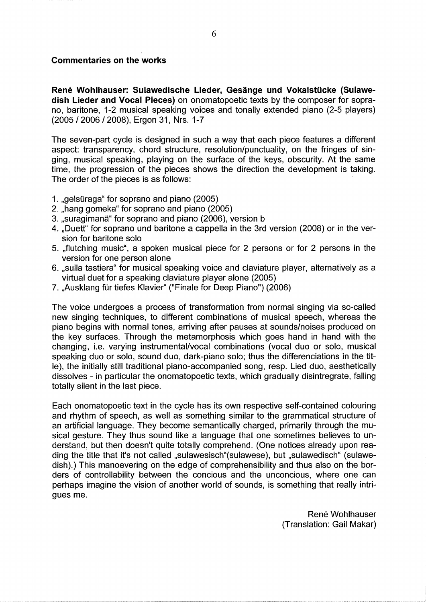# **Commentaries on the works**

René Wohlhauser: Sulawedische Lieder, Gesänge und Vokalstücke (Sulawedish Lieder and Vocal Pieces) on onomatopoetic texts by the composer for soprano, baritone, 1-2 musical speaking voices and tonally extended piano (2-5 players) (2005 / 2006 / 2008), Ergon 31, Nrs. 1-7

The seven-part cycle is designed in such a way that each piece features a different aspect: transparency, chord structure, resolution/punctuality, on the fringes of singing, musical speaking, playing on the surface of the keys, obscurity. At the same time, the progression of the pieces shows the direction the development is taking. The order of the pieces is as follows:

- 1. "gelsüraga" for soprano and piano (2005)
- 2. "hang gomeka" for soprano and piano (2005)
- 3. "suragimanä" for soprano and piano (2006), version b
- 4. "Duett" for soprano und baritone a cappella in the 3rd version (2008) or in the version for baritone solo
- 5. "flutching music", a spoken musical piece for 2 persons or for 2 persons in the version for one person alone
- 6. "sulla tastiera" for musical speaking voice and claviature player, alternatively as a virtual duet for a speaking claviature player alone (2005)
- 7. "Ausklang für tiefes Klavier" ("Finale for Deep Piano") (2006)

The voice undergoes a process of transformation from normal singing via so-called new singing techniques, to different combinations of musical speech, whereas the piano begins with normal tones, arriving after pauses at sounds/noises produced on the key surfaces. Through the metamorphosis which goes hand in hand with the changing, i.e. varying instrumental/vocal combinations (vocal duo or solo, musical speaking duo or solo, sound duo, dark-piano solo; thus the differenciations in the title), the initially still traditional piano-accompanied song, resp. Lied duo, aesthetically dissolves - in particular the onomatopoetic texts, which gradually disintregrate, falling totally silent in the last piece.

Each onomatopoetic text in the cycle has its own respective self-contained colouring and rhythm of speech, as well as something similar to the grammatical structure of an artificial language. They become semantically charged, primarily through the musical gesture. They thus sound like a language that one sometimes believes to understand, but then doesn't quite totally comprehend. (One notices already upon reading the title that it's not called "sulawesisch"(sulawese), but "sulawedisch" (sulawedish).) This manoevering on the edge of comprehensibility and thus also on the borders of controllability between the concious and the unconcious, where one can perhaps imagine the vision of another world of sounds, is something that really intrigues me.

> René Wohlhauser (Translation: Gail Makar)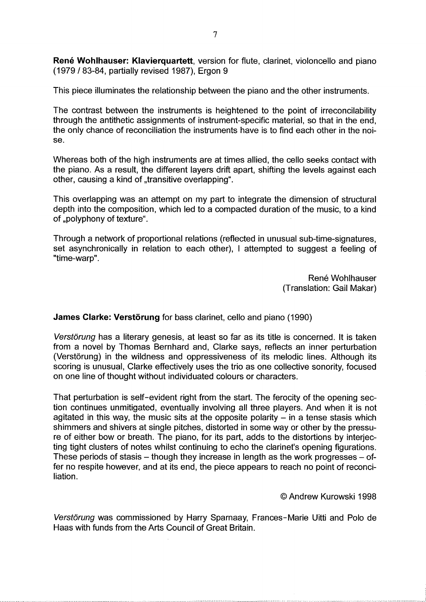René Wohlhauser: Klavierquartett, version for flute, clarinet, violoncello and piano (1979 / 83-84, partially revised 1987). Ergon 9

This piece illuminates the relationship between the piano and the other instruments.

The contrast between the instruments is heightened to the point of irreconcilability through the antithetic assignments of instrument-specific material, so that in the end, the only chance of reconciliation the instruments have is to find each other in the noise.

Whereas both of the high instruments are at times allied, the cello seeks contact with the piano. As a result, the different layers drift apart, shifting the levels against each other, causing a kind of "transitive overlapping".

This overlapping was an attempt on my part to integrate the dimension of structural depth into the composition, which led to a compacted duration of the music, to a kind of "polyphony of texture".

Through a network of proportional relations (reflected in unusual sub-time-signatures, set asynchronically in relation to each other), I attempted to suggest a feeling of "time-warp".

> René Wohlhauser (Translation: Gail Makar)

# James Clarke: Verstörung for bass clarinet. cello and piano (1990)

Verstörung has a literary genesis, at least so far as its title is concerned. It is taken from a novel by Thomas Bernhard and, Clarke says, reflects an inner perturbation (Verstörung) in the wildness and oppressiveness of its melodic lines. Although its scoring is unusual, Clarke effectively uses the trio as one collective sonority, focused on one line of thought without individuated colours or characters.

That perturbation is self-evident right from the start. The ferocity of the opening section continues unmitigated, eventually involving all three players. And when it is not agitated in this way, the music sits at the opposite polarity  $-$  in a tense stasis which shimmers and shivers at single pitches, distorted in some way or other by the pressure of either bow or breath. The piano, for its part, adds to the distortions by interjecting tight clusters of notes whilst continuing to echo the clarinet's opening figurations. These periods of stasis – though they increase in length as the work progresses – offer no respite however, and at its end, the piece appears to reach no point of reconciliation.

## © Andrew Kurowski 1998

Verstörung was commissioned by Harry Sparnaay, Frances-Marie Uitti and Polo de Haas with funds from the Arts Council of Great Britain.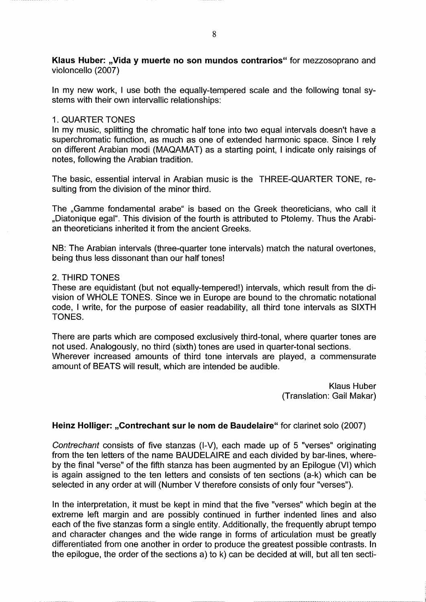Klaus Huber: "Vida y muerte no son mundos contrarios" for mezzosoprano and violoncello (2007)

In my new work, I use both the equally-tempered scale and the following tonal systems with their own intervallic relationships:

# 1. QUARTER TONES

In my music, splitting the chromatic half tone into two equal intervals doesn't have a superchromatic function, as much as one of extended harmonic space. Since I rely on different Arabian modi (MAQAMAT) as a starting point, I indicate only raisings of notes, following the Arabian tradition.

The basic, essential interval in Arabian music is the THREE-QUARTER TONE, resulting from the division of the minor third.

The "Gamme fondamental arabe" is based on the Greek theoreticians, who call it "Diatonique egal". This division of the fourth is attributed to Ptolemy. Thus the Arabian theoreticians inherited it from the ancient Greeks.

NB: The Arabian intervals (three-quarter tone intervals) match the natural overtones, being thus less dissonant than our half tones!

# 2. THIRD TONES

These are equidistant (but not equally-tempered!) intervals, which result from the division of WHOLE TONES. Since we in Europe are bound to the chromatic notational code, I write, for the purpose of easier readability, all third tone intervals as SIXTH TONES.

There are parts which are composed exclusively third-tonal, where quarter tones are not used. Analogously, no third (sixth) tones are used in quarter-tonal sections. Wherever increased amounts of third tone intervals are played, a commensurate amount of BEATS will result, which are intended be audible.

> **Klaus Huber** (Translation: Gail Makar)

# Heinz Holliger: "Contrechant sur le nom de Baudelaire" for clarinet solo (2007)

Contrechant consists of five stanzas (I-V), each made up of 5 "verses" originating from the ten letters of the name BAUDELAIRE and each divided by bar-lines, whereby the final "verse" of the fifth stanza has been augmented by an Epilogue (VI) which is again assigned to the ten letters and consists of ten sections (a-k) which can be selected in any order at will (Number V therefore consists of only four "verses").

In the interpretation, it must be kept in mind that the five "verses" which begin at the extreme left margin and are possibly continued in further indented lines and also each of the five stanzas form a single entity. Additionally, the frequently abrupt tempo and character changes and the wide range in forms of articulation must be greatly differentiated from one another in order to produce the greatest possible contrasts. In the epilogue, the order of the sections a) to k) can be decided at will, but all ten secti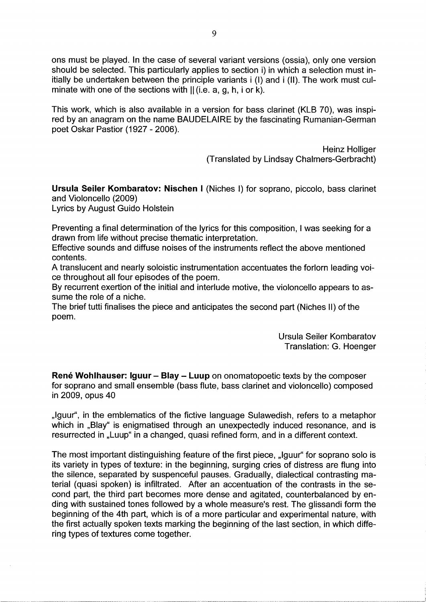ons must be played. In the case of several variant versions (ossia), only one version should be selected. This particularly applies to section i) in which a selection must initially be undertaken between the principle variants i (I) and i (II). The work must culminate with one of the sections with  $||$  (i.e. a, g, h, i or k).

This work, which is also available in a version for bass clarinet (KLB 70), was inspired by an anagram on the name BAUDELAIRE by the fascinating Rumanian-German poet Oskar Pastior (1927 - 2006).

> **Heinz Holliger** (Translated by Lindsay Chalmers-Gerbracht)

Ursula Seiler Kombaratov: Nischen I (Niches I) for soprano, piccolo, bass clarinet and Violoncello (2009)

**Lyrics by August Guido Holstein** 

Preventing a final determination of the lyrics for this composition, I was seeking for a drawn from life without precise thematic interpretation.

Effective sounds and diffuse noises of the instruments reflect the above mentioned contents.

A translucent and nearly soloistic instrumentation accentuates the forlorn leading voice throughout all four episodes of the poem.

By recurrent exertion of the initial and interlude motive, the violoncello appears to assume the role of a niche.

The brief tutti finalises the piece and anticipates the second part (Niches II) of the poem.

> **Ursula Seiler Kombaratov** Translation: G. Hoenger

**René Wohlhauser: Iguur - Blay - Luup** on onomatopoetic texts by the composer for soprano and small ensemble (bass flute, bass clarinet and violoncello) composed in 2009, opus 40

"Iguur", in the emblematics of the fictive language Sulawedish, refers to a metaphor which in "Blay" is enigmatised through an unexpectedly induced resonance, and is resurrected in "Luup" in a changed, quasi refined form, and in a different context.

The most important distinguishing feature of the first piece, "Iguur" for soprano solo is its variety in types of texture: in the beginning, surging cries of distress are flung into the silence, separated by suspenceful pauses. Gradually, dialectical contrasting material (quasi spoken) is infiltrated. After an accentuation of the contrasts in the second part, the third part becomes more dense and agitated, counterbalanced by ending with sustained tones followed by a whole measure's rest. The glissandi form the beginning of the 4th part, which is of a more particular and experimental nature, with the first actually spoken texts marking the beginning of the last section, in which differing types of textures come together.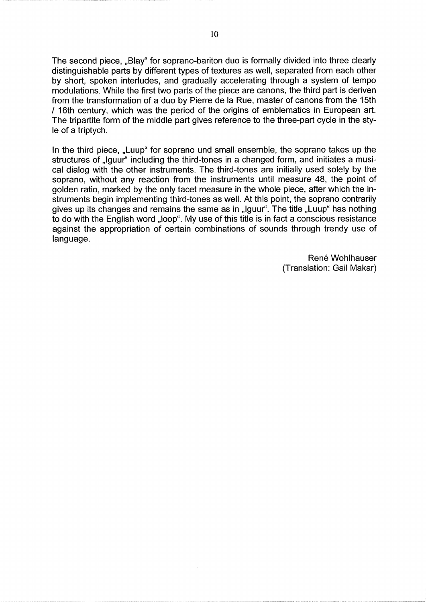The second piece, "Blay" for soprano-bariton duo is formally divided into three clearly distinguishable parts by different types of textures as well, separated from each other by short, spoken interludes, and gradually accelerating through a system of tempo modulations. While the first two parts of the piece are canons, the third part is deriven from the transformation of a duo by Pierre de la Rue, master of canons from the 15th / 16th century, which was the period of the origins of emblematics in European art. The tripartite form of the middle part gives reference to the three-part cycle in the stvle of a triptych.

In the third piece, "Luup" for soprano und small ensemble, the soprano takes up the structures of "Iguur" including the third-tones in a changed form, and initiates a musical dialog with the other instruments. The third-tones are initially used solely by the soprano, without any reaction from the instruments until measure 48, the point of golden ratio, marked by the only tacet measure in the whole piece, after which the instruments begin implementing third-tones as well. At this point, the soprano contrarily gives up its changes and remains the same as in "Iguur". The title "Luup" has nothing to do with the English word "loop". My use of this title is in fact a conscious resistance against the appropriation of certain combinations of sounds through trendy use of language.

> René Wohlhauser (Translation: Gail Makar)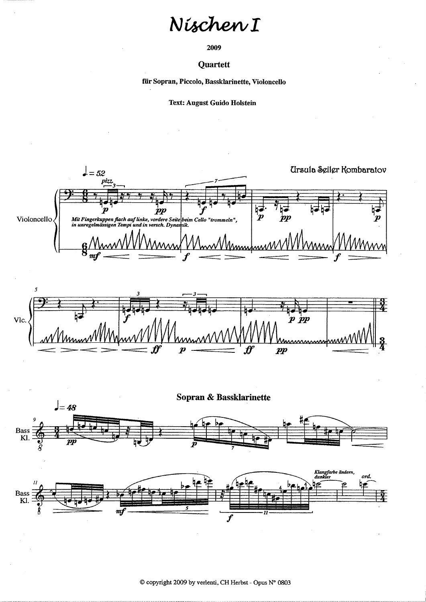# Nischen I

2009

### Quartett

für Sopran, Piccolo, Bassklarinette, Violoncello

**Text: August Guido Holstein** 





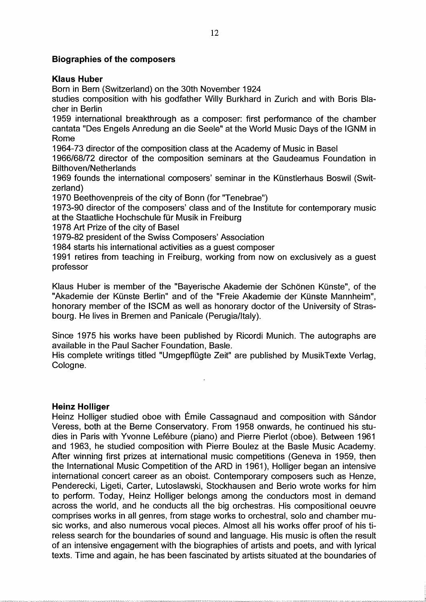# **Biographies of the composers**

# **Klaus Huber**

Born in Bern (Switzerland) on the 30th November 1924

studies composition with his godfather Willy Burkhard in Zurich and with Boris Blacher in Berlin

1959 international breakthrough as a composer: first performance of the chamber cantata "Des Engels Anredung an die Seele" at the World Music Days of the IGNM in Rome

1964-73 director of the composition class at the Academy of Music in Basel

1966/68/72 director of the composition seminars at the Gaudeamus Foundation in **Bilthoven/Netherlands** 

1969 founds the international composers' seminar in the Künstlerhaus Boswil (Switzerland)

1970 Beethovenpreis of the city of Bonn (for "Tenebrae")

1973-90 director of the composers' class and of the Institute for contemporary music at the Staatliche Hochschule für Musik in Freiburg

1978 Art Prize of the city of Basel

1979-82 president of the Swiss Composers' Association

1984 starts his international activities as a quest composer

1991 retires from teaching in Freiburg, working from now on exclusively as a quest professor

Klaus Huber is member of the "Bayerische Akademie der Schönen Künste", of the "Akademie der Künste Berlin" and of the "Freie Akademie der Künste Mannheim", honorary member of the ISCM as well as honorary doctor of the University of Strasbourg. He lives in Bremen and Panicale (Perugia/Italy).

Since 1975 his works have been published by Ricordi Munich. The autographs are available in the Paul Sacher Foundation, Basle.

His complete writings titled "Umgepflügte Zeit" are published by MusikTexte Verlag, Cologne.

# **Heinz Holliger**

Heinz Holliger studied oboe with Émile Cassagnaud and composition with Sándor Veress, both at the Berne Conservatory. From 1958 onwards, he continued his studies in Paris with Yvonne Lefébure (piano) and Pierre Pierlot (oboe). Between 1961 and 1963, he studied composition with Pierre Boulez at the Basle Music Academy. After winning first prizes at international music competitions (Geneva in 1959, then the International Music Competition of the ARD in 1961), Holliger began an intensive international concert career as an oboist. Contemporary composers such as Henze, Penderecki, Ligeti, Carter, Lutoslawski, Stockhausen and Berio wrote works for him to perform. Today, Heinz Holliger belongs among the conductors most in demand across the world, and he conducts all the big orchestras. His compositional oeuvre comprises works in all genres, from stage works to orchestral, solo and chamber music works, and also numerous vocal pieces. Almost all his works offer proof of his tireless search for the boundaries of sound and language. His music is often the result of an intensive engagement with the biographies of artists and poets, and with lyrical texts. Time and again, he has been fascinated by artists situated at the boundaries of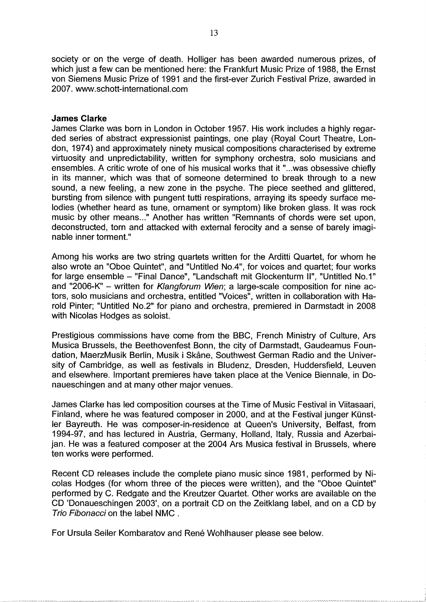society or on the verge of death. Holliger has been awarded numerous prizes, of which just a few can be mentioned here: the Frankfurt Music Prize of 1988, the Ernst von Siemens Music Prize of 1991 and the first-ever Zurich Festival Prize, awarded in 2007. www.schott-international.com

# **James Clarke**

James Clarke was born in London in October 1957. His work includes a highly regarded series of abstract expressionist paintings, one play (Royal Court Theatre, London, 1974) and approximately ninety musical compositions characterised by extreme virtuosity and unpredictability, written for symphony orchestra, solo musicians and ensembles. A critic wrote of one of his musical works that it "...was obsessive chiefly in its manner, which was that of someone determined to break through to a new sound, a new feeling, a new zone in the psyche. The piece seethed and glittered, bursting from silence with pungent tutti respirations, arraying its speedy surface melodies (whether heard as tune, ornament or symptom) like broken glass. It was rock music by other means..." Another has written "Remnants of chords were set upon, deconstructed, torn and attacked with external ferocity and a sense of barely imaginable inner torment."

Among his works are two string quartets written for the Arditti Quartet, for whom he also wrote an "Oboe Quintet", and "Untitled No.4", for voices and quartet; four works for large ensemble - "Final Dance", "Landschaft mit Glockenturm II", "Untitled No.1" and "2006-K" - written for Klangforum Wien; a large-scale composition for nine actors, solo musicians and orchestra, entitled "Voices", written in collaboration with Harold Pinter; "Untitled No.2" for piano and orchestra, premiered in Darmstadt in 2008 with Nicolas Hodges as soloist.

Prestigious commissions have come from the BBC, French Ministry of Culture, Ars Musica Brussels, the Beethovenfest Bonn, the city of Darmstadt, Gaudeamus Foundation, MaerzMusik Berlin, Musik i Skåne, Southwest German Radio and the University of Cambridge, as well as festivals in Bludenz. Dresden. Huddersfield. Leuven and elsewhere. Important premieres have taken place at the Venice Biennale, in Donaueschingen and at many other major venues.

James Clarke has led composition courses at the Time of Music Festival in Viitasaari. Finland, where he was featured composer in 2000, and at the Festival junger Künstler Bayreuth. He was composer-in-residence at Queen's University, Belfast, from 1994-97, and has lectured in Austria, Germany, Holland, Italy, Russia and Azerbaijan. He was a featured composer at the 2004 Ars Musica festival in Brussels, where ten works were performed.

Recent CD releases include the complete piano music since 1981, performed by Nicolas Hodges (for whom three of the pieces were written), and the "Oboe Quintet" performed by C. Redgate and the Kreutzer Quartet. Other works are available on the CD 'Donaueschingen 2003', on a portrait CD on the Zeitklang label, and on a CD by Trio Fibonacci on the label NMC.

For Ursula Seiler Kombaratov and René Wohlhauser please see below.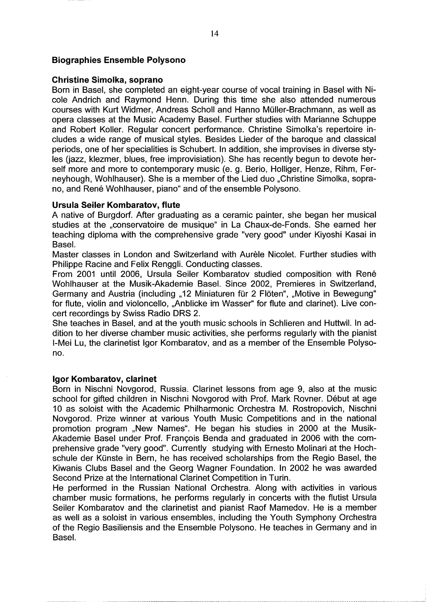# **Biographies Ensemble Polysono**

# **Christine Simolka, soprano**

Born in Basel, she completed an eight-year course of vocal training in Basel with Nicole Andrich and Raymond Henn. During this time she also attended numerous courses with Kurt Widmer, Andreas Scholl and Hanno Müller-Brachmann, as well as opera classes at the Music Academy Basel. Further studies with Marianne Schuppe and Robert Koller. Regular concert performance. Christine Simolka's repertoire includes a wide range of musical styles. Besides Lieder of the baroque and classical periods, one of her specialities is Schubert. In addition, she improvises in diverse styles (jazz, klezmer, blues, free improvisiation). She has recently begun to devote herself more and more to contemporary music (e. g. Berio, Holliger, Henze, Rihm, Ferneyhough, Wohlhauser). She is a member of the Lied duo "Christine Simolka, soprano, and René Wohlhauser, piano" and of the ensemble Polysono.

# **Ursula Seiler Kombaratov, flute**

A native of Burgdorf. After graduating as a ceramic painter, she began her musical studies at the "conservatoire de musique" in La Chaux-de-Fonds. She earned her teaching diploma with the comprehensive grade "very good" under Kiyoshi Kasai in Basel.

Master classes in London and Switzerland with Aurèle Nicolet. Further studies with Philippe Racine and Felix Renggli. Conducting classes.

From 2001 until 2006, Ursula Seiler Kombaratov studied composition with René Wohlhauser at the Musik-Akademie Basel. Since 2002, Premieres in Switzerland, Germany and Austria (including "12 Miniaturen für 2 Flöten", "Motive in Bewegung" for flute, violin and violoncello, "Anblicke im Wasser" for flute and clarinet). Live concert recordings by Swiss Radio DRS 2.

She teaches in Basel, and at the youth music schools in Schlieren and Huttwil. In addition to her diverse chamber music activities, she performs regularly with the pianist I-Mei Lu, the clarinetist Igor Kombaratov, and as a member of the Ensemble Polysono.

# Igor Kombaratov, clarinet

Born in Nischni Novgorod, Russia. Clarinet lessons from age 9, also at the music school for gifted children in Nischni Novgorod with Prof. Mark Rovner. Début at age 10 as soloist with the Academic Philharmonic Orchestra M. Rostropovich, Nischni Novgorod. Prize winner at various Youth Music Competitions and in the national promotion program "New Names". He began his studies in 2000 at the Musik-Akademie Basel under Prof. François Benda and graduated in 2006 with the comprehensive grade "very good". Currently studying with Ernesto Molinari at the Hochschule der Künste in Bern, he has received scholarships from the Regio Basel, the Kiwanis Clubs Basel and the Georg Wagner Foundation. In 2002 he was awarded Second Prize at the International Clarinet Competition in Turin.

He performed in the Russian National Orchestra. Along with activities in various chamber music formations, he performs regularly in concerts with the flutist Ursula Seiler Kombaratov and the clarinetist and pianist Raof Mamedov. He is a member as well as a soloist in various ensembles, including the Youth Symphony Orchestra of the Regio Basiliensis and the Ensemble Polysono. He teaches in Germany and in Basel.